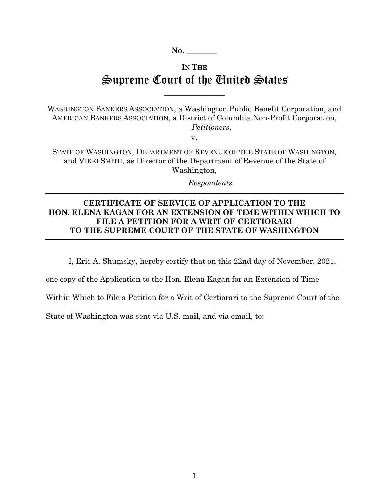**No. \_\_\_\_\_\_\_\_** 

## **IN THE** Supreme Court of the United States

 $\overline{\phantom{a}}$  , where  $\overline{\phantom{a}}$ 

WASHINGTON BANKERS ASSOCIATION, a Washington Public Benefit Corporation, and AMERICAN BANKERS ASSOCIATION, a District of Columbia Non-Profit Corporation,  *Petitioners*,

v.

STATE OF WASHINGTON, DEPARTMENT OF REVENUE OF THE STATE OF WASHINGTON, and VIKKI SMITH, as Director of the Department of Revenue of the State of Washington,

 *Respondents.* 

## **CERTIFICATE OF SERVICE OF APPLICATION TO THE HON. ELENA KAGAN FOR AN EXTENSION OF TIME WITHIN WHICH TO FILE A PETITION FOR A WRIT OF CERTIORARI TO THE SUPREME COURT OF THE STATE OF WASHINGTON**

I, Eric A. Shumsky, hereby certify that on this 22nd day of November, 2021,

one copy of the Application to the Hon. Elena Kagan for an Extension of Time

Within Which to File a Petition for a Writ of Certiorari to the Supreme Court of the

State of Washington was sent via U.S. mail, and via email, to: